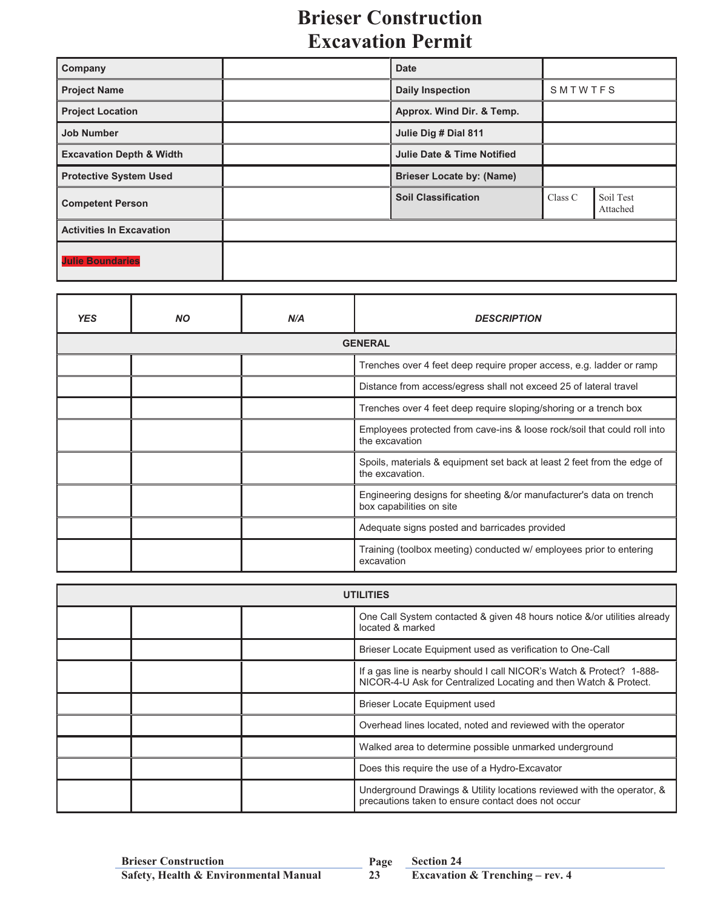## **Brieser Construction Excavation Permit**

| Company                             | <b>Date</b>                           |         |                       |
|-------------------------------------|---------------------------------------|---------|-----------------------|
| <b>Project Name</b>                 | <b>Daily Inspection</b>               | SMTWTFS |                       |
| <b>Project Location</b>             | Approx. Wind Dir. & Temp.             |         |                       |
| <b>Job Number</b>                   | Julie Dig # Dial 811                  |         |                       |
| <b>Excavation Depth &amp; Width</b> | <b>Julie Date &amp; Time Notified</b> |         |                       |
| <b>Protective System Used</b>       | <b>Brieser Locate by: (Name)</b>      |         |                       |
| <b>Competent Person</b>             | <b>Soil Classification</b>            | Class C | Soil Test<br>Attached |
| <b>Activities In Excavation</b>     |                                       |         |                       |
| <b>Julie Boundaries</b>             |                                       |         |                       |

| <b>YES</b>     | <b>NO</b> | N/A | <b>DESCRIPTION</b>                                                                              |  |  |
|----------------|-----------|-----|-------------------------------------------------------------------------------------------------|--|--|
| <b>GENERAL</b> |           |     |                                                                                                 |  |  |
|                |           |     | Trenches over 4 feet deep require proper access, e.g. ladder or ramp                            |  |  |
|                |           |     | Distance from access/egress shall not exceed 25 of lateral travel                               |  |  |
|                |           |     | Trenches over 4 feet deep require sloping/shoring or a trench box                               |  |  |
|                |           |     | Employees protected from cave-ins & loose rock/soil that could roll into<br>the excavation      |  |  |
|                |           |     | Spoils, materials & equipment set back at least 2 feet from the edge of<br>the excavation.      |  |  |
|                |           |     | Engineering designs for sheeting &/or manufacturer's data on trench<br>box capabilities on site |  |  |
|                |           |     | Adequate signs posted and barricades provided                                                   |  |  |
|                |           |     | Training (toolbox meeting) conducted w/ employees prior to entering<br>excavation               |  |  |

| <b>UTILITIES</b> |  |  |                                                                                                                                           |
|------------------|--|--|-------------------------------------------------------------------------------------------------------------------------------------------|
|                  |  |  | One Call System contacted & given 48 hours notice &/or utilities already<br>located & marked                                              |
|                  |  |  | Brieser Locate Equipment used as verification to One-Call                                                                                 |
|                  |  |  | If a gas line is nearby should I call NICOR's Watch & Protect? 1-888-<br>NICOR-4-U Ask for Centralized Locating and then Watch & Protect. |
|                  |  |  | Brieser Locate Equipment used                                                                                                             |
|                  |  |  | Overhead lines located, noted and reviewed with the operator                                                                              |
|                  |  |  | Walked area to determine possible unmarked underground                                                                                    |
|                  |  |  | Does this require the use of a Hydro-Excavator                                                                                            |
|                  |  |  | Underground Drawings & Utility locations reviewed with the operator, &<br>precautions taken to ensure contact does not occur              |

**23**

**Section 24**<br>**Excavation & Trenching – rev. 4**